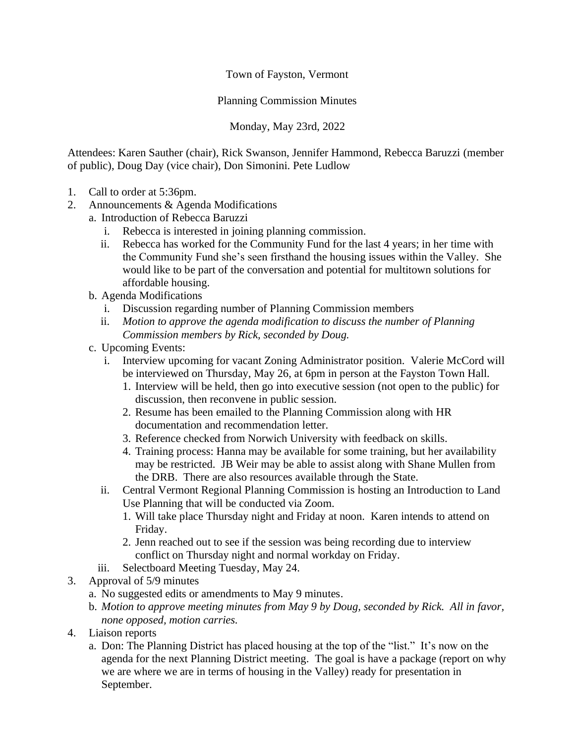Town of Fayston, Vermont

Planning Commission Minutes

Monday, May 23rd, 2022

Attendees: Karen Sauther (chair), Rick Swanson, Jennifer Hammond, Rebecca Baruzzi (member of public), Doug Day (vice chair), Don Simonini. Pete Ludlow

- 1. Call to order at 5:36pm.
- 2. Announcements & Agenda Modifications
	- a. Introduction of Rebecca Baruzzi
		- i. Rebecca is interested in joining planning commission.
		- ii. Rebecca has worked for the Community Fund for the last 4 years; in her time with the Community Fund she's seen firsthand the housing issues within the Valley. She would like to be part of the conversation and potential for multitown solutions for affordable housing.
	- b. Agenda Modifications
		- i. Discussion regarding number of Planning Commission members
		- ii. *Motion to approve the agenda modification to discuss the number of Planning Commission members by Rick, seconded by Doug.*
	- c. Upcoming Events:
		- i. Interview upcoming for vacant Zoning Administrator position. Valerie McCord will be interviewed on Thursday, May 26, at 6pm in person at the Fayston Town Hall.
			- 1. Interview will be held, then go into executive session (not open to the public) for discussion, then reconvene in public session.
			- 2. Resume has been emailed to the Planning Commission along with HR documentation and recommendation letter.
			- 3. Reference checked from Norwich University with feedback on skills.
			- 4. Training process: Hanna may be available for some training, but her availability may be restricted. JB Weir may be able to assist along with Shane Mullen from the DRB. There are also resources available through the State.
		- ii. Central Vermont Regional Planning Commission is hosting an Introduction to Land Use Planning that will be conducted via Zoom.
			- 1. Will take place Thursday night and Friday at noon. Karen intends to attend on Friday.
			- 2. Jenn reached out to see if the session was being recording due to interview conflict on Thursday night and normal workday on Friday.
		- iii. Selectboard Meeting Tuesday, May 24.
- 3. Approval of 5/9 minutes
	- a. No suggested edits or amendments to May 9 minutes.
	- b. *Motion to approve meeting minutes from May 9 by Doug, seconded by Rick. All in favor, none opposed, motion carries.*
- 4. Liaison reports
	- a. Don: The Planning District has placed housing at the top of the "list." It's now on the agenda for the next Planning District meeting. The goal is have a package (report on why we are where we are in terms of housing in the Valley) ready for presentation in September.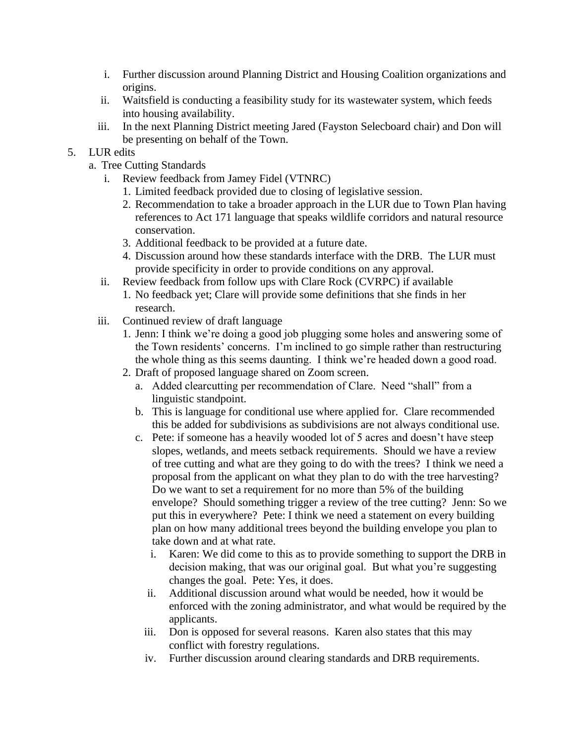- i. Further discussion around Planning District and Housing Coalition organizations and origins.
- ii. Waitsfield is conducting a feasibility study for its wastewater system, which feeds into housing availability.
- iii. In the next Planning District meeting Jared (Fayston Selecboard chair) and Don will be presenting on behalf of the Town.
- 5. LUR edits
	- a. Tree Cutting Standards
		- i. Review feedback from Jamey Fidel (VTNRC)
			- 1. Limited feedback provided due to closing of legislative session.
			- 2. Recommendation to take a broader approach in the LUR due to Town Plan having references to Act 171 language that speaks wildlife corridors and natural resource conservation.
			- 3. Additional feedback to be provided at a future date.
			- 4. Discussion around how these standards interface with the DRB. The LUR must provide specificity in order to provide conditions on any approval.
		- ii. Review feedback from follow ups with Clare Rock (CVRPC) if available
			- 1. No feedback yet; Clare will provide some definitions that she finds in her research.
		- iii. Continued review of draft language
			- 1. Jenn: I think we're doing a good job plugging some holes and answering some of the Town residents' concerns. I'm inclined to go simple rather than restructuring the whole thing as this seems daunting. I think we're headed down a good road.
			- 2. Draft of proposed language shared on Zoom screen.
				- a. Added clearcutting per recommendation of Clare. Need "shall" from a linguistic standpoint.
				- b. This is language for conditional use where applied for. Clare recommended this be added for subdivisions as subdivisions are not always conditional use.
				- c. Pete: if someone has a heavily wooded lot of 5 acres and doesn't have steep slopes, wetlands, and meets setback requirements. Should we have a review of tree cutting and what are they going to do with the trees? I think we need a proposal from the applicant on what they plan to do with the tree harvesting? Do we want to set a requirement for no more than 5% of the building envelope? Should something trigger a review of the tree cutting? Jenn: So we put this in everywhere? Pete: I think we need a statement on every building plan on how many additional trees beyond the building envelope you plan to take down and at what rate.
					- i. Karen: We did come to this as to provide something to support the DRB in decision making, that was our original goal. But what you're suggesting changes the goal. Pete: Yes, it does.
					- ii. Additional discussion around what would be needed, how it would be enforced with the zoning administrator, and what would be required by the applicants.
					- iii. Don is opposed for several reasons. Karen also states that this may conflict with forestry regulations.
					- iv. Further discussion around clearing standards and DRB requirements.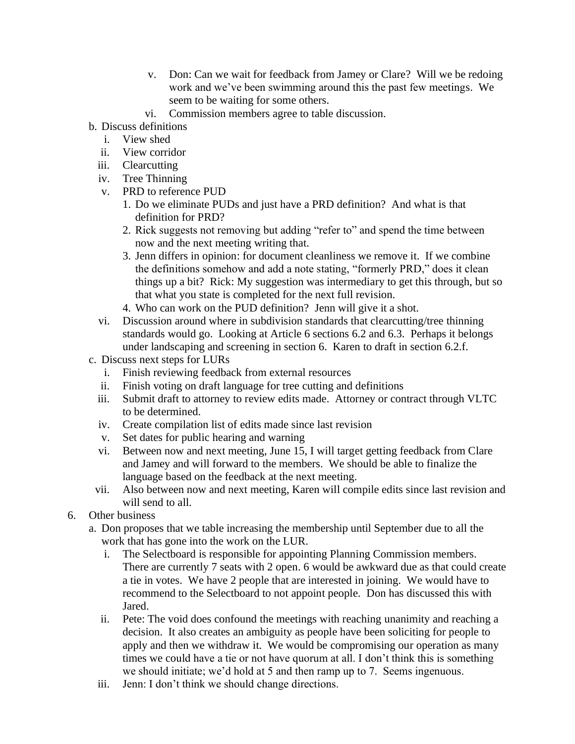- v. Don: Can we wait for feedback from Jamey or Clare? Will we be redoing work and we've been swimming around this the past few meetings. We seem to be waiting for some others.
- vi. Commission members agree to table discussion.
- b. Discuss definitions
	- i. View shed
	- ii. View corridor
	- iii. Clearcutting
	- iv. Tree Thinning
	- v. PRD to reference PUD
		- 1. Do we eliminate PUDs and just have a PRD definition? And what is that definition for PRD?
		- 2. Rick suggests not removing but adding "refer to" and spend the time between now and the next meeting writing that.
		- 3. Jenn differs in opinion: for document cleanliness we remove it. If we combine the definitions somehow and add a note stating, "formerly PRD," does it clean things up a bit? Rick: My suggestion was intermediary to get this through, but so that what you state is completed for the next full revision.
		- 4. Who can work on the PUD definition? Jenn will give it a shot.
	- vi. Discussion around where in subdivision standards that clearcutting/tree thinning standards would go. Looking at Article 6 sections 6.2 and 6.3. Perhaps it belongs under landscaping and screening in section 6. Karen to draft in section 6.2.f.
- c. Discuss next steps for LURs
	- i. Finish reviewing feedback from external resources
	- ii. Finish voting on draft language for tree cutting and definitions
	- iii. Submit draft to attorney to review edits made. Attorney or contract through VLTC to be determined.
	- iv. Create compilation list of edits made since last revision
	- v. Set dates for public hearing and warning
	- vi. Between now and next meeting, June 15, I will target getting feedback from Clare and Jamey and will forward to the members. We should be able to finalize the language based on the feedback at the next meeting.
	- vii. Also between now and next meeting, Karen will compile edits since last revision and will send to all.
- 6. Other business
	- a. Don proposes that we table increasing the membership until September due to all the work that has gone into the work on the LUR.
		- i. The Selectboard is responsible for appointing Planning Commission members. There are currently 7 seats with 2 open. 6 would be awkward due as that could create a tie in votes. We have 2 people that are interested in joining. We would have to recommend to the Selectboard to not appoint people. Don has discussed this with Jared.
		- ii. Pete: The void does confound the meetings with reaching unanimity and reaching a decision. It also creates an ambiguity as people have been soliciting for people to apply and then we withdraw it. We would be compromising our operation as many times we could have a tie or not have quorum at all. I don't think this is something we should initiate; we'd hold at 5 and then ramp up to 7. Seems ingenuous.
		- iii. Jenn: I don't think we should change directions.